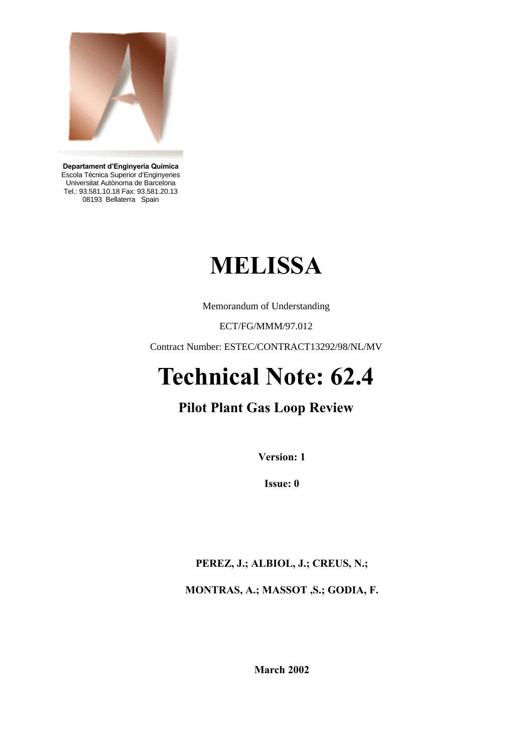

**Departament d'Enginyeria Química** Escola Tècnica Superior d'Enginyeries Universitat Autònoma de Barcelona Tel.: 93.581.10.18 Fax: 93.581.20.13 08193 Bellaterra Spain

# **MELISSA**

Memorandum of Understanding

ECT/FG/MMM/97.012

Contract Number: ESTEC/CONTRACT13292/98/NL/MV

## **Technical Note: 62.4**

## **Pilot Plant Gas Loop Review**

**Version: 1**

**Issue: 0**

**PEREZ, J.; ALBIOL, J.; CREUS, N.;** 

**MONTRAS, A.; MASSOT ,S.; GODIA, F.** 

**March 2002**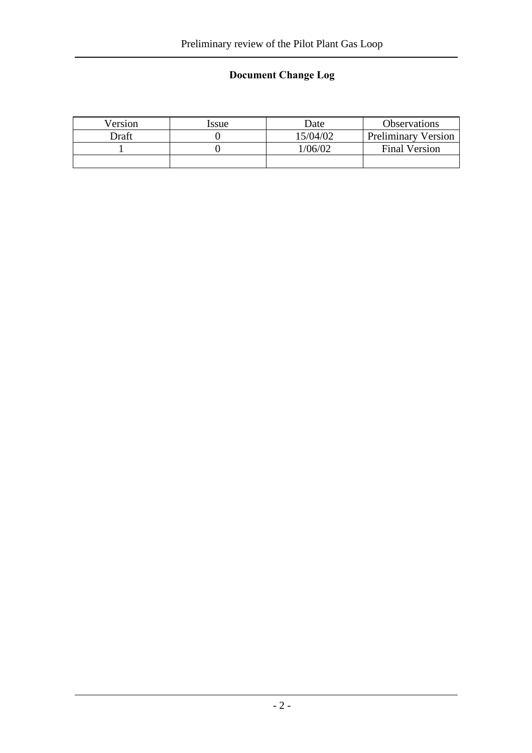### **Document Change Log**

| Version | Issue | Date     | <b>Observations</b>        |
|---------|-------|----------|----------------------------|
| Draft   |       | 15/04/02 | <b>Preliminary Version</b> |
|         |       | 1/06/02  | <b>Final Version</b>       |
|         |       |          |                            |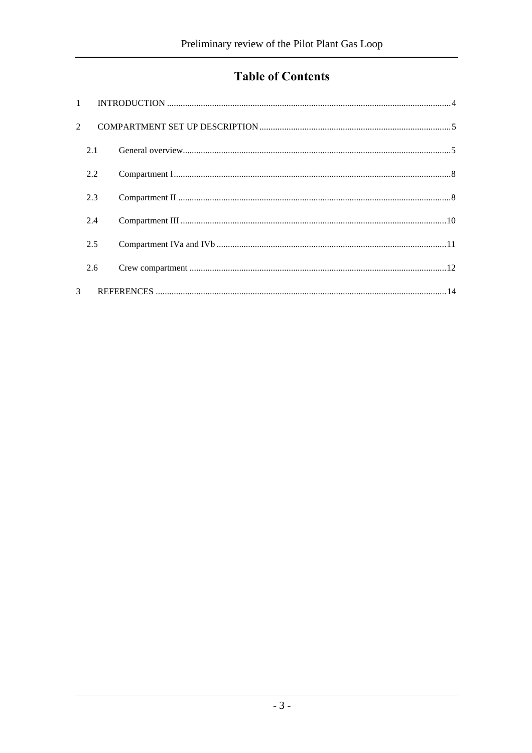## **Table of Contents**

| $\overline{2}$ |     |  |  |
|----------------|-----|--|--|
|                | 2.1 |  |  |
|                | 2.2 |  |  |
|                | 2.3 |  |  |
|                | 2.4 |  |  |
|                | 2.5 |  |  |
|                | 2.6 |  |  |
| $\mathcal{R}$  |     |  |  |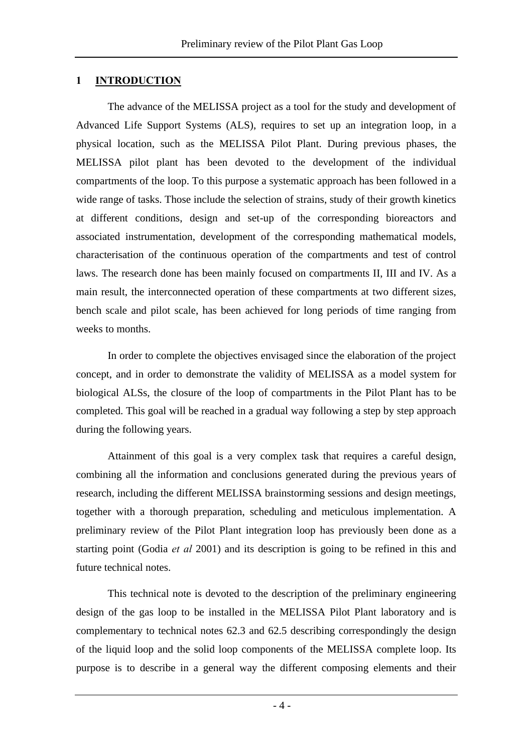#### **1 INTRODUCTION**

The advance of the MELISSA project as a tool for the study and development of Advanced Life Support Systems (ALS), requires to set up an integration loop, in a physical location, such as the MELISSA Pilot Plant. During previous phases, the MELISSA pilot plant has been devoted to the development of the individual compartments of the loop. To this purpose a systematic approach has been followed in a wide range of tasks. Those include the selection of strains, study of their growth kinetics at different conditions, design and set-up of the corresponding bioreactors and associated instrumentation, development of the corresponding mathematical models, characterisation of the continuous operation of the compartments and test of control laws. The research done has been mainly focused on compartments II, III and IV. As a main result, the interconnected operation of these compartments at two different sizes, bench scale and pilot scale, has been achieved for long periods of time ranging from weeks to months.

In order to complete the objectives envisaged since the elaboration of the project concept, and in order to demonstrate the validity of MELISSA as a model system for biological ALSs, the closure of the loop of compartments in the Pilot Plant has to be completed. This goal will be reached in a gradual way following a step by step approach during the following years.

Attainment of this goal is a very complex task that requires a careful design, combining all the information and conclusions generated during the previous years of research, including the different MELISSA brainstorming sessions and design meetings, together with a thorough preparation, scheduling and meticulous implementation. A preliminary review of the Pilot Plant integration loop has previously been done as a starting point (Godia *et al* 2001) and its description is going to be refined in this and future technical notes.

This technical note is devoted to the description of the preliminary engineering design of the gas loop to be installed in the MELISSA Pilot Plant laboratory and is complementary to technical notes 62.3 and 62.5 describing correspondingly the design of the liquid loop and the solid loop components of the MELISSA complete loop. Its purpose is to describe in a general way the different composing elements and their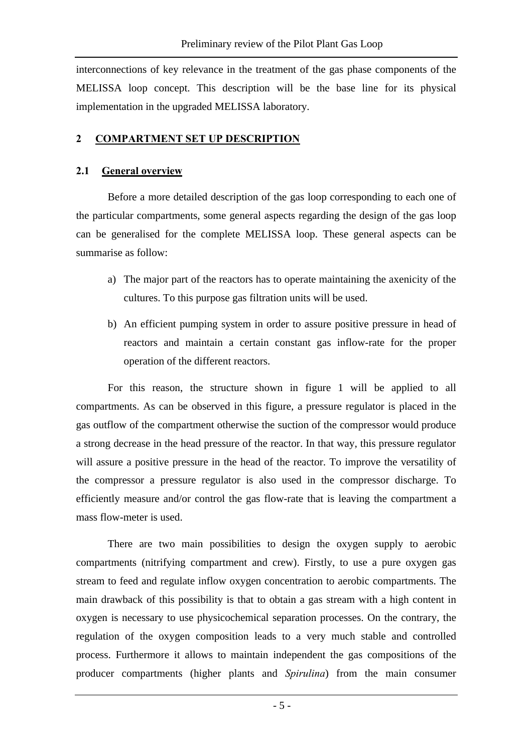interconnections of key relevance in the treatment of the gas phase components of the MELISSA loop concept. This description will be the base line for its physical implementation in the upgraded MELISSA laboratory.

#### **2 COMPARTMENT SET UP DESCRIPTION**

#### **2.1 General overview**

Before a more detailed description of the gas loop corresponding to each one of the particular compartments, some general aspects regarding the design of the gas loop can be generalised for the complete MELISSA loop. These general aspects can be summarise as follow:

- a) The major part of the reactors has to operate maintaining the axenicity of the cultures. To this purpose gas filtration units will be used.
- b) An efficient pumping system in order to assure positive pressure in head of reactors and maintain a certain constant gas inflow-rate for the proper operation of the different reactors.

For this reason, the structure shown in figure 1 will be applied to all compartments. As can be observed in this figure, a pressure regulator is placed in the gas outflow of the compartment otherwise the suction of the compressor would produce a strong decrease in the head pressure of the reactor. In that way, this pressure regulator will assure a positive pressure in the head of the reactor. To improve the versatility of the compressor a pressure regulator is also used in the compressor discharge. To efficiently measure and/or control the gas flow-rate that is leaving the compartment a mass flow-meter is used.

There are two main possibilities to design the oxygen supply to aerobic compartments (nitrifying compartment and crew). Firstly, to use a pure oxygen gas stream to feed and regulate inflow oxygen concentration to aerobic compartments. The main drawback of this possibility is that to obtain a gas stream with a high content in oxygen is necessary to use physicochemical separation processes. On the contrary, the regulation of the oxygen composition leads to a very much stable and controlled process. Furthermore it allows to maintain independent the gas compositions of the producer compartments (higher plants and *Spirulina*) from the main consumer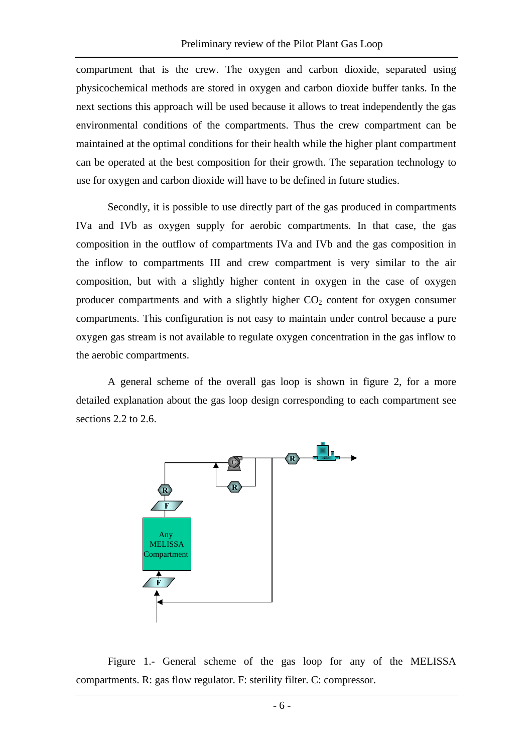compartment that is the crew. The oxygen and carbon dioxide, separated using physicochemical methods are stored in oxygen and carbon dioxide buffer tanks. In the next sections this approach will be used because it allows to treat independently the gas environmental conditions of the compartments. Thus the crew compartment can be maintained at the optimal conditions for their health while the higher plant compartment can be operated at the best composition for their growth. The separation technology to use for oxygen and carbon dioxide will have to be defined in future studies.

Secondly, it is possible to use directly part of the gas produced in compartments IVa and IVb as oxygen supply for aerobic compartments. In that case, the gas composition in the outflow of compartments IVa and IVb and the gas composition in the inflow to compartments III and crew compartment is very similar to the air composition, but with a slightly higher content in oxygen in the case of oxygen producer compartments and with a slightly higher  $CO<sub>2</sub>$  content for oxygen consumer compartments. This configuration is not easy to maintain under control because a pure oxygen gas stream is not available to regulate oxygen concentration in the gas inflow to the aerobic compartments.

A general scheme of the overall gas loop is shown in figure 2, for a more detailed explanation about the gas loop design corresponding to each compartment see sections 2.2 to 2.6.



Figure 1.- General scheme of the gas loop for any of the MELISSA compartments. R: gas flow regulator. F: sterility filter. C: compressor.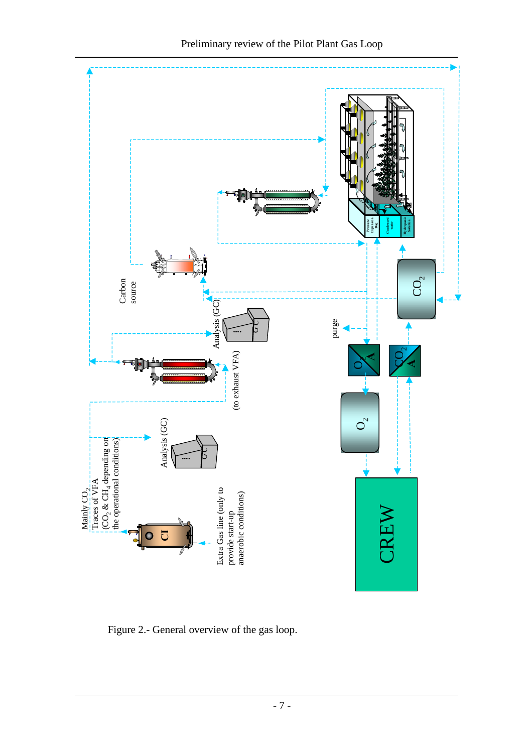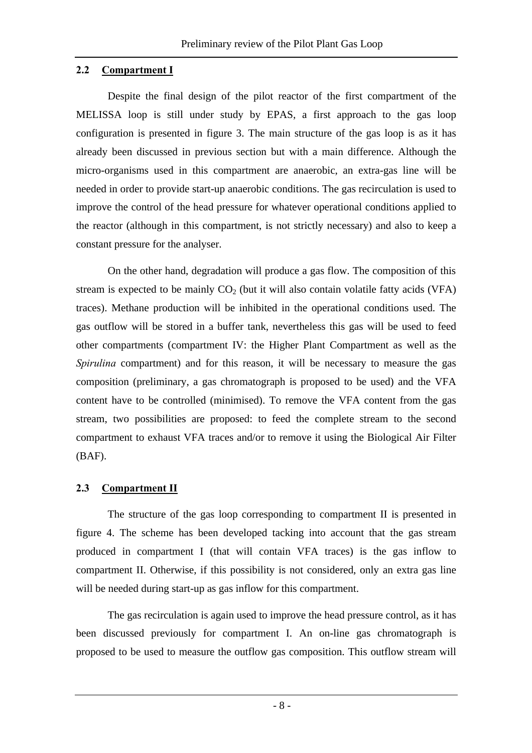#### **2.2 Compartment I**

Despite the final design of the pilot reactor of the first compartment of the MELISSA loop is still under study by EPAS, a first approach to the gas loop configuration is presented in figure 3. The main structure of the gas loop is as it has already been discussed in previous section but with a main difference. Although the micro-organisms used in this compartment are anaerobic, an extra-gas line will be needed in order to provide start-up anaerobic conditions. The gas recirculation is used to improve the control of the head pressure for whatever operational conditions applied to the reactor (although in this compartment, is not strictly necessary) and also to keep a constant pressure for the analyser.

On the other hand, degradation will produce a gas flow. The composition of this stream is expected to be mainly  $CO<sub>2</sub>$  (but it will also contain volatile fatty acids (VFA) traces). Methane production will be inhibited in the operational conditions used. The gas outflow will be stored in a buffer tank, nevertheless this gas will be used to feed other compartments (compartment IV: the Higher Plant Compartment as well as the *Spirulina* compartment) and for this reason, it will be necessary to measure the gas composition (preliminary, a gas chromatograph is proposed to be used) and the VFA content have to be controlled (minimised). To remove the VFA content from the gas stream, two possibilities are proposed: to feed the complete stream to the second compartment to exhaust VFA traces and/or to remove it using the Biological Air Filter (BAF).

#### **2.3 Compartment II**

The structure of the gas loop corresponding to compartment II is presented in figure 4. The scheme has been developed tacking into account that the gas stream produced in compartment I (that will contain VFA traces) is the gas inflow to compartment II. Otherwise, if this possibility is not considered, only an extra gas line will be needed during start-up as gas inflow for this compartment.

The gas recirculation is again used to improve the head pressure control, as it has been discussed previously for compartment I. An on-line gas chromatograph is proposed to be used to measure the outflow gas composition. This outflow stream will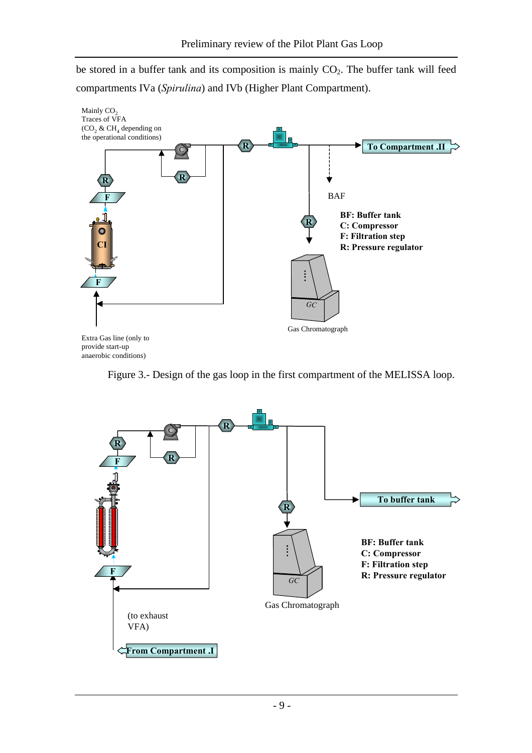be stored in a buffer tank and its composition is mainly  $CO<sub>2</sub>$ . The buffer tank will feed compartments IVa (*Spirulina*) and IVb (Higher Plant Compartment).



Figure 3.- Design of the gas loop in the first compartment of the MELISSA loop.

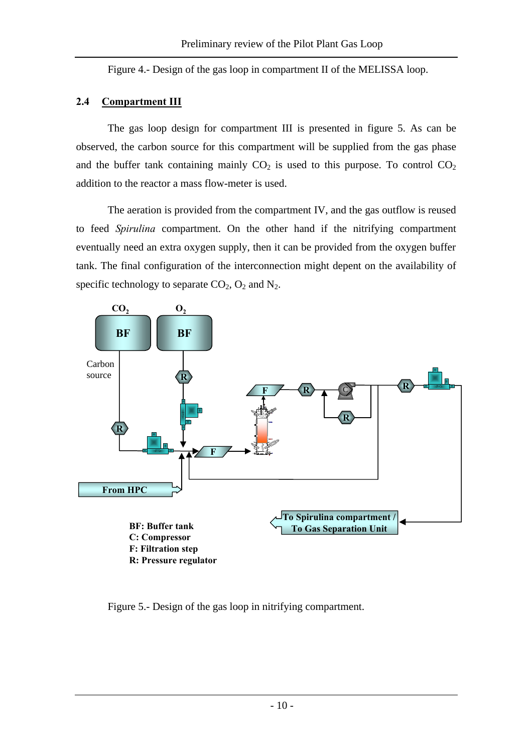Figure 4.- Design of the gas loop in compartment II of the MELISSA loop.

#### **2.4 Compartment III**

The gas loop design for compartment III is presented in figure 5. As can be observed, the carbon source for this compartment will be supplied from the gas phase and the buffer tank containing mainly  $CO<sub>2</sub>$  is used to this purpose. To control  $CO<sub>2</sub>$ addition to the reactor a mass flow-meter is used.

The aeration is provided from the compartment IV, and the gas outflow is reused to feed *Spirulina* compartment. On the other hand if the nitrifying compartment eventually need an extra oxygen supply, then it can be provided from the oxygen buffer tank. The final configuration of the interconnection might depent on the availability of specific technology to separate  $CO<sub>2</sub>$ ,  $O<sub>2</sub>$  and  $N<sub>2</sub>$ .



Figure 5.- Design of the gas loop in nitrifying compartment.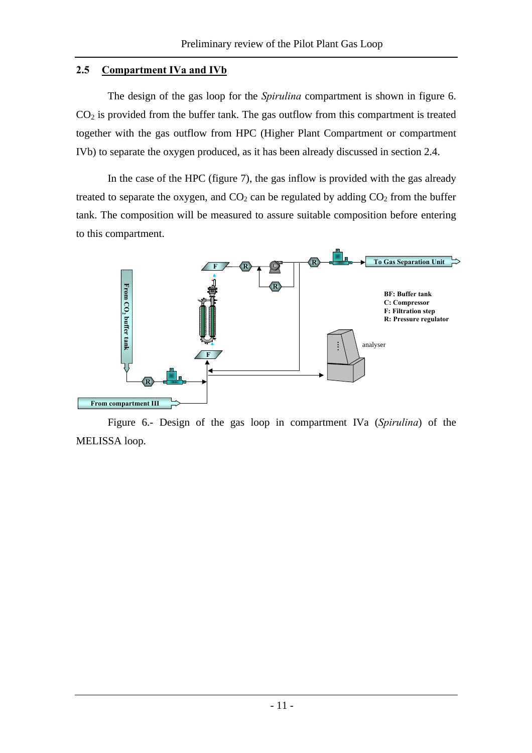#### **2.5 Compartment IVa and IVb**

The design of the gas loop for the *Spirulina* compartment is shown in figure 6.  $CO<sub>2</sub>$  is provided from the buffer tank. The gas outflow from this compartment is treated together with the gas outflow from HPC (Higher Plant Compartment or compartment IVb) to separate the oxygen produced, as it has been already discussed in section 2.4.

In the case of the HPC (figure 7), the gas inflow is provided with the gas already treated to separate the oxygen, and  $CO<sub>2</sub>$  can be regulated by adding  $CO<sub>2</sub>$  from the buffer tank. The composition will be measured to assure suitable composition before entering to this compartment.



Figure 6.- Design of the gas loop in compartment IVa (*Spirulina*) of the MELISSA loop.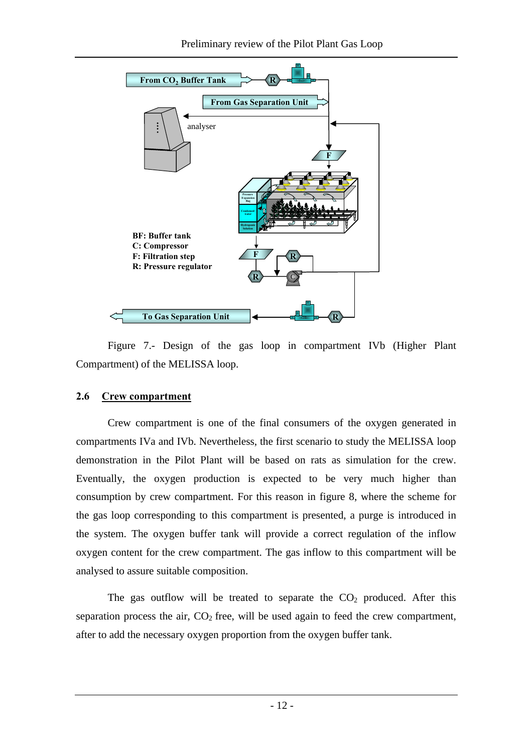

Figure 7.- Design of the gas loop in compartment IVb (Higher Plant Compartment) of the MELISSA loop.

#### **2.6 Crew compartment**

Crew compartment is one of the final consumers of the oxygen generated in compartments IVa and IVb. Nevertheless, the first scenario to study the MELISSA loop demonstration in the Pilot Plant will be based on rats as simulation for the crew. Eventually, the oxygen production is expected to be very much higher than consumption by crew compartment. For this reason in figure 8, where the scheme for the gas loop corresponding to this compartment is presented, a purge is introduced in the system. The oxygen buffer tank will provide a correct regulation of the inflow oxygen content for the crew compartment. The gas inflow to this compartment will be analysed to assure suitable composition.

The gas outflow will be treated to separate the  $CO<sub>2</sub>$  produced. After this separation process the air,  $CO<sub>2</sub>$  free, will be used again to feed the crew compartment, after to add the necessary oxygen proportion from the oxygen buffer tank.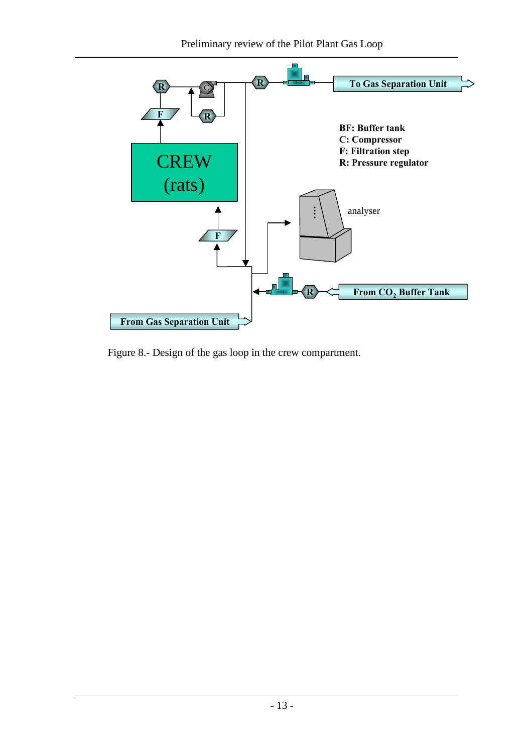

Figure 8.- Design of the gas loop in the crew compartment.